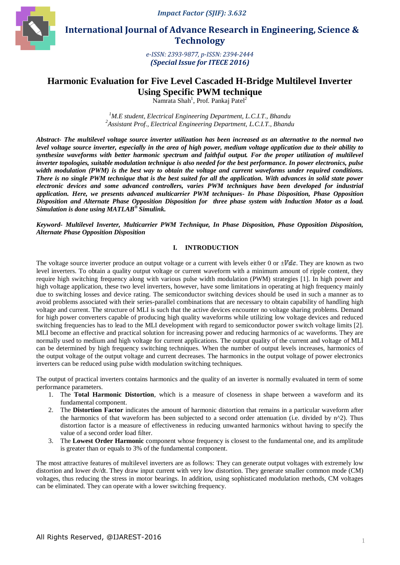*Impact Factor (SJIF): 3.632*



 **International Journal of Advance Research in Engineering, Science & Technology** 

> *e-ISSN: 2393-9877, p-ISSN: 2394-2444 (Special Issue for ITECE 2016)*

# **Harmonic Evaluation for Five Level Cascaded H-Bridge Multilevel Inverter Using Specific PWM technique**

Namrata Shah<sup>1</sup>, Prof. Pankaj Patel<sup>2</sup>

*<sup>1</sup>M.E student, Electrical Engineering Department, L.C.I.T., Bhandu 2 Assistant Prof., Electrical Engineering Department, L.C.I.T., Bhandu*

*Abstract- The multilevel voltage source inverter utilization has been increased as an alternative to the normal two level voltage source inverter, especially in the area of high power, medium voltage application due to their ability to synthesize waveforms with better harmonic spectrum and faithful output. For the proper utilization of multilevel inverter topologies, suitable modulation technique is also needed for the best performance. In power electronics, pulse width modulation (PWM) is the best way to obtain the voltage and current waveforms under required conditions. There is no single PWM technique that is the best suited for all the application. With advances in solid state power electronic devices and some advanced controllers, varies PWM techniques have been developed for industrial application. Here, we presents advanced multicarrier PWM techniques- In Phase Disposition, Phase Opposition Disposition and Alternate Phase Opposition Disposition for three phase system with Induction Motor as a load. Simulation is done using MATLAB® Simulink.*

*Keyword- Multilevel Inverter, Multicarrier PWM Technique, In Phase Disposition, Phase Opposition Disposition, Alternate Phase Opposition Disposition*

### **I. INTRODUCTION**

The voltage source inverter produce an output voltage or a current with levels either 0 or  $\pm Vdc$ . They are known as two level inverters. To obtain a quality output voltage or current waveform with a minimum amount of ripple content, they require high switching frequency along with various pulse width modulation (PWM) strategies [1]. In high power and high voltage application, these two level inverters, however, have some limitations in operating at high frequency mainly due to switching losses and device rating. The semiconductor switching devices should be used in such a manner as to avoid problems associated with their series-parallel combinations that are necessary to obtain capability of handling high voltage and current. The structure of MLI is such that the active devices encounter no voltage sharing problems. Demand for high power converters capable of producing high quality waveforms while utilizing low voltage devices and reduced switching frequencies has to lead to the MLI development with regard to semiconductor power switch voltage limits [2]. MLI become an effective and practical solution for increasing power and reducing harmonics of ac waveforms. They are normally used to medium and high voltage for current applications. The output quality of the current and voltage of MLI can be determined by high frequency switching techniques. When the number of output levels increases, harmonics of the output voltage of the output voltage and current decreases. The harmonics in the output voltage of power electronics inverters can be reduced using pulse width modulation switching techniques.

The output of practical inverters contains harmonics and the quality of an inverter is normally evaluated in term of some performance parameters.

- 1. The **Total Harmonic Distortion**, which is a measure of closeness in shape between a waveform and its fundamental component.
- 2. The **Distortion Factor** indicates the amount of harmonic distortion that remains in a particular waveform after the harmonics of that waveform has been subjected to a second order attenuation (i.e. divided by n^2). Thus distortion factor is a measure of effectiveness in reducing unwanted harmonics without having to specify the value of a second order load filter.
- 3. The **Lowest Order Harmonic** component whose frequency is closest to the fundamental one, and its amplitude is greater than or equals to 3% of the fundamental component.

The most attractive features of multilevel inverters are as follows: They can generate output voltages with extremely low distortion and lower dv/dt. They draw input current with very low distortion. They generate smaller common mode (CM) voltages, thus reducing the stress in motor bearings. In addition, using sophisticated modulation methods, CM voltages can be eliminated. They can operate with a lower switching frequency.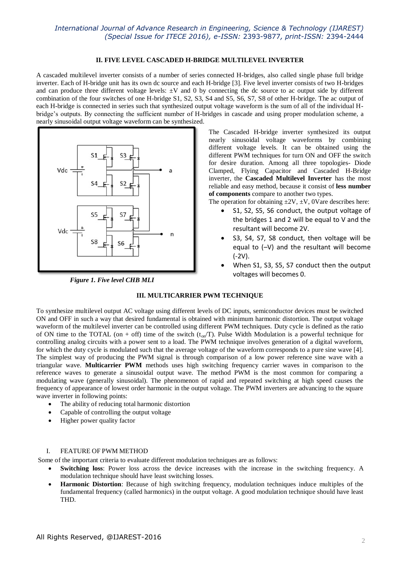#### **II. FIVE LEVEL CASCADED H-BRIDGE MULTILEVEL INVERTER**

A cascaded multilevel inverter consists of a number of series connected H-bridges, also called single phase full bridge inverter. Each of H-bridge unit has its own dc source and each H-bridge [3]. Five level inverter consists of two H-bridges and can produce three different voltage levels:  $\pm V$  and 0 by connecting the dc source to ac output side by different combination of the four switches of one H-bridge S1, S2, S3, S4 and S5, S6, S7, S8 of other H-bridge. The ac output of each H-bridge is connected in series such that synthesized output voltage waveform is the sum of all of the individual Hbridge's outputs. By connecting the sufficient number of H-bridges in cascade and using proper modulation scheme, a nearly sinusoidal output voltage waveform can be synthesized.



 *Figure 1. Five level CHB MLI*

The Cascaded H-bridge inverter synthesized its output nearly sinusoidal voltage waveforms by combining different voltage levels. It can be obtained using the different PWM techniques for turn ON and OFF the switch for desire duration. Among all three topologies- Diode Clamped, Flying Capacitor and Cascaded H-Bridge inverter, the **Cascaded Multilevel Inverter** has the most reliable and easy method, because it consist of **less number of components** compare to another two types.

The operation for obtaining  $\pm 2V$ ,  $\pm V$ , 0Vare describes here:

- S1, S2, S5, S6 conduct, the output voltage of the bridges 1 and 2 will be equal to V and the resultant will become 2V.
- S3, S4, S7, S8 conduct, then voltage will be equal to (–V) and the resultant will become (-2V).
- When S1, S3, S5, S7 conduct then the output voltages will becomes 0.

### **III. MULTICARRIER PWM TECHNIQUE**

To synthesize multilevel output AC voltage using different levels of DC inputs, semiconductor devices must be switched ON and OFF in such a way that desired fundamental is obtained with minimum harmonic distortion. The output voltage waveform of the multilevel inverter can be controlled using different PWM techniques. Duty cycle is defined as the ratio of ON time to the TOTAL (on + off) time of the switch  $(t_{on}/T)$ . Pulse Width Modulation is a powerful technique for controlling analog circuits with a power sent to a load. The PWM technique involves generation of a digital waveform, for which the duty cycle is modulated such that the average voltage of the waveform corresponds to a pure sine wave [4]. The simplest way of producing the PWM signal is through comparison of a low power reference sine wave with a triangular wave. **Multicarrier PWM** methods uses high switching frequency carrier waves in comparison to the reference waves to generate a sinusoidal output wave. The method PWM is the most common for comparing a modulating wave (generally sinusoidal). The phenomenon of rapid and repeated switching at high speed causes the frequency of appearance of lowest order harmonic in the output voltage. The PWM inverters are advancing to the square wave inverter in following points:

- The ability of reducing total harmonic distortion
- Capable of controlling the output voltage
- Higher power quality factor

### I. FEATURE OFPWM METHOD

Some of the important criteria to evaluate different modulation techniques are as follows:

- **Switching loss**: Power loss across the device increases with the increase in the switching frequency. A modulation technique should have least switching losses.
- **Harmonic Distortion**: Because of high switching frequency, modulation techniques induce multiples of the fundamental frequency (called harmonics) in the output voltage. A good modulation technique should have least THD.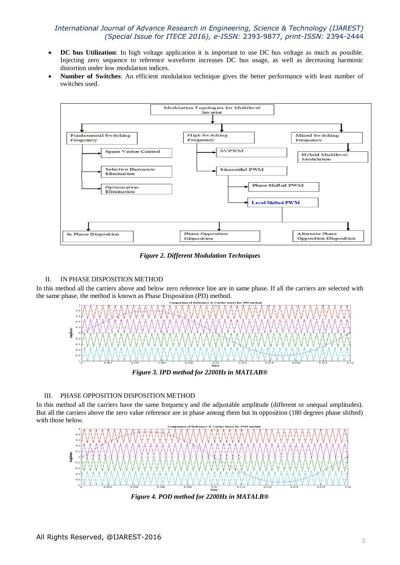- **DC bus Utilization**: In high voltage application it is important to use DC bus voltage as much as possible. Injecting zero sequence to reference waveform increases DC bus usage, as well as decreasing harmonic distortion under low modulation indices.
- **Number of Switches**: An efficient modulation technique gives the better performance with least number of switches used.



*Figure 2. Different Modulation Techniques*

### II. IN PHASE DISPOSITION METHOD

In this method all the carriers above and below zero reference line are in same phase. If all the carriers are selected with the same phase, the method is known as Phase Disposition (PD) method.



*Figure 3. IPD method for 2200Hz in MATLAB®*

### III. PHASE OPPOSITION DISPOSITION METHOD

In this method all the carriers have the same frequency and the adjustable amplitude (different or unequal amplitudes). But all the carriers above the zero value reference are in phase among them but in opposition (180 degrees phase shifted) with those below.



*Figure 4. POD method for 2200Hz in MATALB®*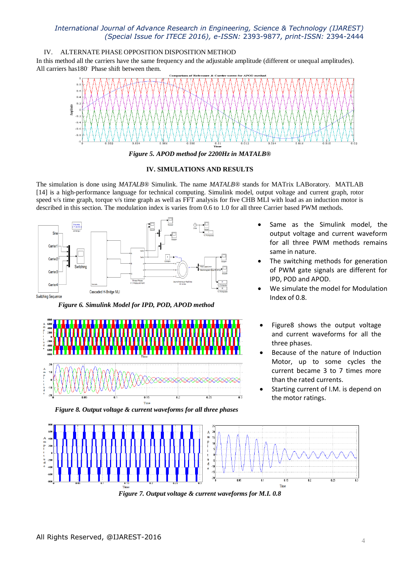### IV. ALTERNATE PHASE OPPOSITION DISPOSITION METHOD

In this method all the carriers have the same frequency and the adjustable amplitude (different or unequal amplitudes). All carriers has180. Phase shift between them.



*Figure 5. APOD method for 2200Hz in MATALB®*

#### **IV. SIMULATIONS AND RESULTS**

The simulation is done using *MATALB®* Simulink. The name *MATALB®* stands for MATrix LABoratory. MATLAB [14] is a high-performance language for technical computing. Simulink model, output voltage and current graph, rotor speed v/s time graph, torque v/s time graph as well as FFT analysis for five CHB MLI with load as an induction motor is described in this section. The modulation index is varies from 0.6 to 1.0 for all three Carrier based PWM methods.



 *Figure 6. Simulink Model for IPD, POD, APOD method*





- The switching methods for generation of PWM gate signals are different for IPD, POD and APOD.
- We simulate the model for Modulation Index of 0.8.
- Figure8 shows the output voltage and current waveforms for all the three phases.
- Because of the nature of Induction Motor, up to some cycles the current became 3 to 7 times more than the rated currents.
- Starting current of I.M. is depend on the motor ratings.



*Figure 8. Output voltage & current waveforms for all three phases*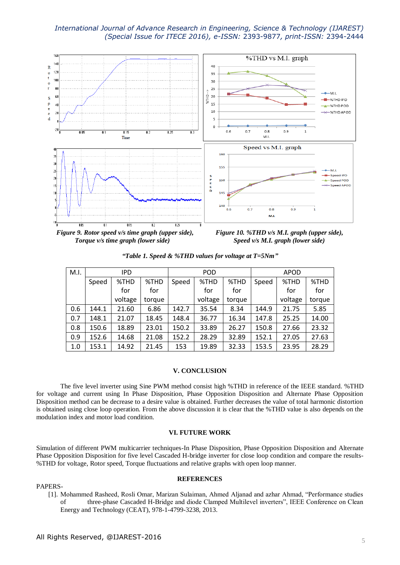

*Figure 9. Rotor speed v/s time graph (upper side), Figure 10. %THD v/s M.I. graph (upper side),*

*Torque v/s time graph (lower side) Speed v/s M.I. graph (lower side)*

|  |  |  |  |  |  | "Table 1. Speed & %THD values for voltage at T=5Nm" |  |
|--|--|--|--|--|--|-----------------------------------------------------|--|
|--|--|--|--|--|--|-----------------------------------------------------|--|

| M.I. | <b>IPD</b> |         |        | <b>POD</b> |         |        | <b>APOD</b> |         |        |
|------|------------|---------|--------|------------|---------|--------|-------------|---------|--------|
|      | Speed      | %THD    | %THD   | Speed      | %THD    | %THD   | Speed       | %THD    | %THD   |
|      |            | for     | for    |            | for     | for    |             | for     | for    |
|      |            | voltage | torque |            | voltage | torque |             | voltage | torque |
| 0.6  | 144.1      | 21.60   | 6.86   | 142.7      | 35.54   | 8.34   | 144.9       | 21.75   | 5.85   |
| 0.7  | 148.1      | 21.07   | 18.45  | 148.4      | 36.77   | 16.34  | 147.8       | 25.25   | 14.00  |
| 0.8  | 150.6      | 18.89   | 23.01  | 150.2      | 33.89   | 26.27  | 150.8       | 27.66   | 23.32  |
| 0.9  | 152.6      | 14.68   | 21.08  | 152.2      | 28.29   | 32.89  | 152.1       | 27.05   | 27.63  |
| 1.0  | 153.1      | 14.92   | 21.45  | 153        | 19.89   | 32.33  | 153.5       | 23.95   | 28.29  |

#### **V. CONCLUSION**

The five level inverter using Sine PWM method consist high %THD in reference of the IEEE standard. %THD for voltage and current using In Phase Disposition, Phase Opposition Disposition and Alternate Phase Opposition Disposition method can be decrease to a desire value is obtained. Further decreases the value of total harmonic distortion is obtained using close loop operation. From the above discussion it is clear that the %THD value is also depends on the modulation index and motor load condition.

#### **VI. FUTURE WORK**

Simulation of different PWM multicarrier techniques-In Phase Disposition, Phase Opposition Disposition and Alternate Phase Opposition Disposition for five level Cascaded H-bridge inverter for close loop condition and compare the results- %THD for voltage, Rotor speed, Torque fluctuations and relative graphs with open loop manner.

#### PAPERS-

#### **REFERENCES**

[1]. Mohammed Rasheed, Rosli Omar, Marizan Sulaiman, Ahmed Aljanad and azhar Ahmad, "Performance studies of three-phase Cascaded H-Bridge and diode Clamped Multilevel inverters", IEEE Conference on Clean Energy and Technology (CEAT), 978-1-4799-3238, 2013.